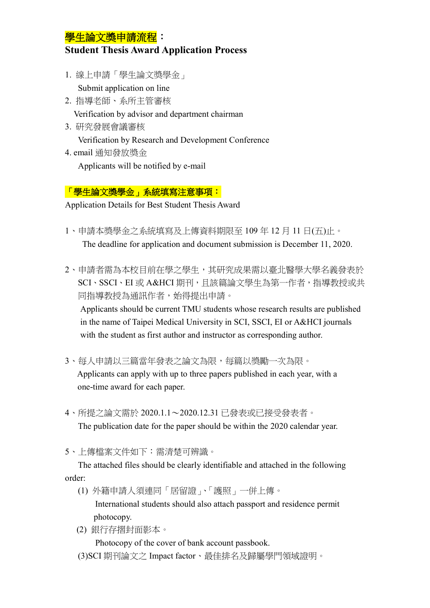## 學生論文獎申請流程:

## **Student Thesis Award Application Process**

1. 線上申請「學生論文獎學金」

Submit application on line

2. 指導老師、系所主管審核

Verification by advisor and department chairman

3. 研究發展會議審核 Verification by Research and Development Conference 4. email 通知發放獎金

Applicants will be notified by e-mail

## 「學生論文獎學金」系統填寫注意事項:

Application Details for Best Student Thesis Award

- 1、申請本獎學金之系統填寫及上傳資料期限至 109 年 12 月 11 日(五)止。 The deadline for application and document submission is December 11, 2020.
- 2、申請者需為本校目前在學之學生,其研究成果需以臺北醫學大學名義發表於 SCI、SSCI、EI 或 A&HCI 期刊,目該篇論文學生為第一作者,指導教授或共 同指導教授為通訊作者,始得提出申請。

Applicants should be current TMU students whose research results are published in the name of Taipei Medical University in SCI, SSCI, EI or A&HCI journals with the student as first author and instructor as corresponding author.

- 3、每人申請以三篇當年發表之論文為限,每篇以獎勵一次為限。 Applicants can apply with up to three papers published in each year, with a one-time award for each paper.
- 4、所提之論文需於 2020.1.1~2020.12.31 已發表或已接受發表者。 The publication date for the paper should be within the 2020 calendar year.
- 5、上傳檔案文件如下:需清楚可辨識。

The attached files should be clearly identifiable and attached in the following order:

(1) 外籍申請人須連同「居留證」、「護照」一併上傳。

International students should also attach passport and residence permit photocopy.

(2) 銀行存摺封面影本。

Photocopy of the cover of bank account passbook.

(3)SCI 期刊論文之 Impact factor、最佳排名及歸屬學門領域證明。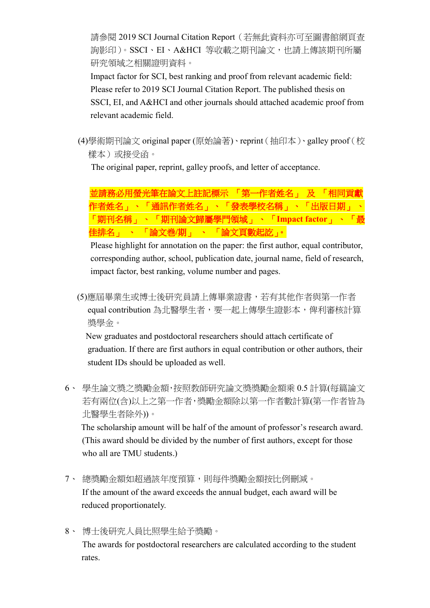請參閱 2019 SCI Journal Citation Report(若無此資料亦可至圖書館網頁查 詢影印)。SSCI、EI、A&HCI 等收載之期刊論文,也請上傳該期刊所屬 研究領域之相關證明資料。

Impact factor for SCI, best ranking and proof from relevant academic field: Please refer to 2019 SCI Journal Citation Report. The published thesis on SSCI, EI, and A&HCI and other journals should attached academic proof from relevant academic field.

(4)學術期刊論文 original paper (原始論著)、reprint(抽印本)、galley proof(校 樣本)或接受函。

The original paper, reprint, galley proofs, and letter of acceptance.

並請務必用螢光筆在論文上註記標示 「第一作者姓名」 及 「相同貢獻 作者姓名」、「通訊作者姓名」、「發表學校名稱」、「出版日期」 、 「期刊名稱」、 「期刊論文歸屬學門領域」 、 「**Impact factor**」 、 「最 佳排名」 、 「論文巻**/**期」 、 「論文頁數起訖」。

Please highlight for annotation on the paper: the first author, equal contributor, corresponding author, school, publication date, journal name, field of research, impact factor, best ranking, volume number and pages.

(5)應屆畢業生或博士後研究員請上傳畢業證書,若有其他作者與第一作者 equal contribution 為北醫學生者,要一起上傳學生證影本,俾利審核計算 獎學金。

New graduates and postdoctoral researchers should attach certificate of graduation. If there are first authors in equal contribution or other authors, their student IDs should be uploaded as well.

6、 學生論文獎之獎勵金額,按照教師研究論文獎獎勵金額乘 0.5 計算(每篇論文 若有兩位(含)以上之第一作者,獎勵金額除以第一作者數計算(第一作者皆為 北醫學生者除外))。

The scholarship amount will be half of the amount of professor's research award. (This award should be divided by the number of first authors, except for those who all are TMU students.)

- 7、 總獎勵金額如超過該年度預算,則每件獎勵金額按比例刪減。 If the amount of the award exceeds the annual budget, each award will be reduced proportionately.
- 8、 博士後研究人員比照學生給予獎勵。

The awards for postdoctoral researchers are calculated according to the student rates.